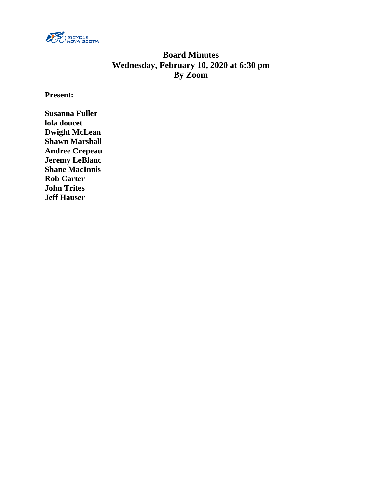

# **Board Minutes Wednesday, February 10, 2020 at 6:30 pm By Zoom**

**Present:**

**Susanna Fuller lola doucet Dwight McLean Shawn Marshall Andree Crepeau Jeremy LeBlanc Shane MacInnis Rob Carter John Trites Jeff Hauser**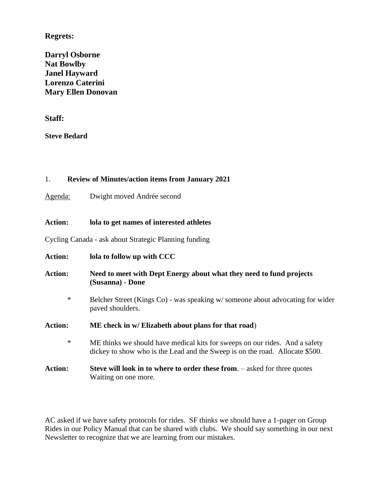# **Regrets:**

**Darryl Osborne Nat Bowlby Janel Hayward Lorenzo Caterini Mary Ellen Donovan**

**Staff:**

**Steve Bedard**

## 1. **Review of Minutes/action items from January 2021**

Agenda: Dwight moved Andrée second

# **Action: lola to get names of interested athletes**

Cycling Canada - ask about Strategic Planning funding

| <b>Action:</b> | lola to follow up with CCC                                                                                                                                  |
|----------------|-------------------------------------------------------------------------------------------------------------------------------------------------------------|
| <b>Action:</b> | Need to meet with Dept Energy about what they need to fund projects<br>(Susanna) - Done                                                                     |
| $\ast$         | Belcher Street (Kings Co) - was speaking w/someone about advocating for wider<br>paved shoulders.                                                           |
| <b>Action:</b> | ME check in w/ Elizabeth about plans for that road)                                                                                                         |
| $\ast$         | ME thinks we should have medical kits for sweeps on our rides. And a safety<br>dickey to show who is the Lead and the Sweep is on the road. Allocate \$500. |
| <b>Action:</b> | <b>Steve will look in to where to order these from.</b> – asked for three quotes<br>Waiting on one more.                                                    |

AC asked if we have safety protocols for rides. SF thinks we should have a 1-pager on Group Rides in our Policy Manual that can be shared with clubs. We should say something in our next Newsletter to recognize that we are learning from our mistakes.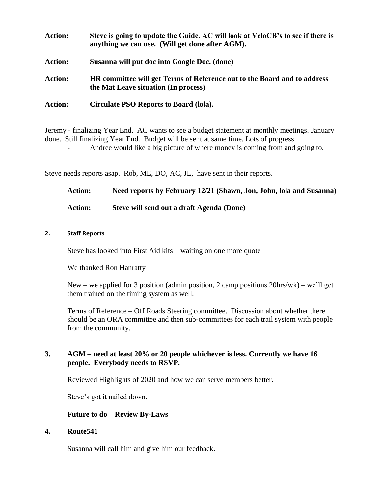- **Action: Steve is going to update the Guide. AC will look at VeloCB's to see if there is anything we can use. (Will get done after AGM). Action: Susanna will put doc into Google Doc. (done) Action: HR committee will get Terms of Reference out to the Board and to address the Mat Leave situation (In process)**
- **Action: Circulate PSO Reports to Board (lola).**

Jeremy - finalizing Year End. AC wants to see a budget statement at monthly meetings. January done. Still finalizing Year End. Budget will be sent at same time. Lots of progress.

- Andree would like a big picture of where money is coming from and going to.

Steve needs reports asap. Rob, ME, DO, AC, JL, have sent in their reports.

| <b>Action:</b> | Need reports by February 12/21 (Shawn, Jon, John, Iola and Susanna) |
|----------------|---------------------------------------------------------------------|
| <b>Action:</b> | Steve will send out a draft Agenda (Done)                           |

#### **2. Staff Reports**

Steve has looked into First Aid kits – waiting on one more quote

We thanked Ron Hanratty

New – we applied for 3 position (admin position, 2 camp positions  $20\text{hrs}/\text{wk}$ ) – we'll get them trained on the timing system as well.

Terms of Reference – Off Roads Steering committee. Discussion about whether there should be an ORA committee and then sub-committees for each trail system with people from the community.

## **3. AGM – need at least 20% or 20 people whichever is less. Currently we have 16 people. Everybody needs to RSVP.**

Reviewed Highlights of 2020 and how we can serve members better.

Steve's got it nailed down.

#### **Future to do – Review By-Laws**

#### **4. Route541**

Susanna will call him and give him our feedback.